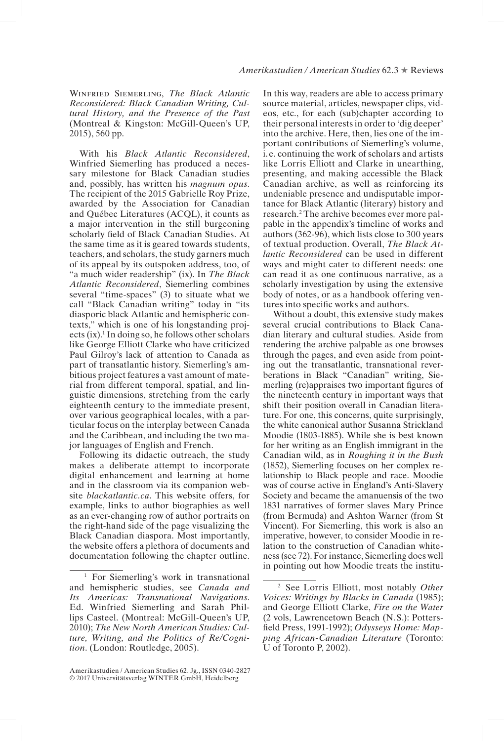Winfried Siemerling, *The Black Atlantic Reconsidered: Black Canadian Writing, Cultural History, and the Presence of the Past*  (Montreal & Kingston: McGill-Queen's UP, 2015), 560 pp.

With his *Black Atlantic Reconsidered*, Winfried Siemerling has produced a necessary milestone for Black Canadian studies and, possibly, has written his *magnum opus*. The recipient of the 2015 Gabrielle Roy Prize, awarded by the Association for Canadian and Québec Literatures (ACQL), it counts as a major intervention in the still burgeoning scholarly feld of Black Canadian Studies. At the same time as it is geared towards students, teachers, and scholars, the study garners much of its appeal by its outspoken address, too, of "a much wider readership" (ix). In *The Black Atlantic Reconsidered*, Siemerling combines several "time-spaces" (3) to situate what we call "Black Canadian writing" today in "its diasporic black Atlantic and hemispheric contexts," which is one of his longstanding projects  $(ix)$ .<sup>1</sup> In doing so, he follows other scholars like George Elliott Clarke who have criticized Paul Gilroy's lack of attention to Canada as part of transatlantic history. Siemerling's ambitious project features a vast amount of material from different temporal, spatial, and linguistic dimensions, stretching from the early eighteenth century to the immediate present, over various geographical locales, with a particular focus on the interplay between Canada and the Caribbean, and including the two major languages of English and French.

Following its didactic outreach, the study makes a deliberate attempt to incorporate digital enhancement and learning at home and in the classroom via its companion website *blackatlantic.ca*. This website offers, for example, links to author biographies as well as an ever-changing row of author portraits on the right-hand side of the page visualizing the Black Canadian diaspora. Most importantly, the website offers a plethora of documents and documentation following the chapter outline.

In this way, readers are able to access primary source material, articles, newspaper clips, videos, etc., for each (sub)chapter according to their personal interests in order to 'dig deeper' into the archive. Here, then, lies one of the important contributions of Siemerling's volume, i. e. continuing the work of scholars and artists like Lorris Elliott and Clarke in unearthing, presenting, and making accessible the Black Canadian archive, as well as reinforcing its undeniable presence and undisputable importance for Black Atlantic (literary) history and research.2 The archive becomes ever more palpable in the appendix's timeline of works and authors (362-96), which lists close to 300 years of textual production. Overall, *The Black Atlantic Reconsidered* can be used in different ways and might cater to different needs: one can read it as one continuous narrative, as a scholarly investigation by using the extensive body of notes, or as a handbook offering ventures into specifc works and authors.

Without a doubt, this extensive study makes several crucial contributions to Black Canadian literary and cultural studies. Aside from rendering the archive palpable as one browses through the pages, and even aside from pointing out the transatlantic, transnational reverberations in Black "Canadian" writing, Siemerling (re)appraises two important fgures of the nineteenth century in important ways that shift their position overall in Canadian literature. For one, this concerns, quite surprisingly, the white canonical author Susanna Strickland Moodie (1803-1885). While she is best known for her writing as an English immigrant in the Canadian wild, as in *Roughing it in the Bush* (1852), Siemerling focuses on her complex relationship to Black people and race. Moodie was of course active in England's Anti-Slavery Society and became the amanuensis of the two 1831 narratives of former slaves Mary Prince (from Bermuda) and Ashton Warner (from St Vincent). For Siemerling, this work is also an imperative, however, to consider Moodie in relation to the construction of Canadian whiteness (see 72). For instance, Siemerling does well in pointing out how Moodie treats the institu-

<sup>&</sup>lt;sup>1</sup> For Siemerling's work in transnational and hemispheric studies, see *Canada and Its Americas: Transnational Navigations*. Ed. Winfried Siemerling and Sarah Phillips Casteel. (Montreal: McGill-Queen's UP, 2010); *The New North American Studies: Culture, Writing, and the Politics of Re/Cognition*. (London: Routledge, 2005).

Amerikastudien / American Studies 62. Jg., ISSN 0340-2827 © 2017 Universitätsverlag WINTER GmbH, Heidelberg

<sup>2</sup> See Lorris Elliott, most notably *Other Voices: Writings by Blacks in Canada* (1985); and George Elliott Clarke, *Fire on the Water* (2 vols, Lawrencetown Beach (N.S.): Pottersfeld Press, 1991-1992); *Odysseys Home: Mapping African-Canadian Literature* (Toronto: U of Toronto P, 2002).